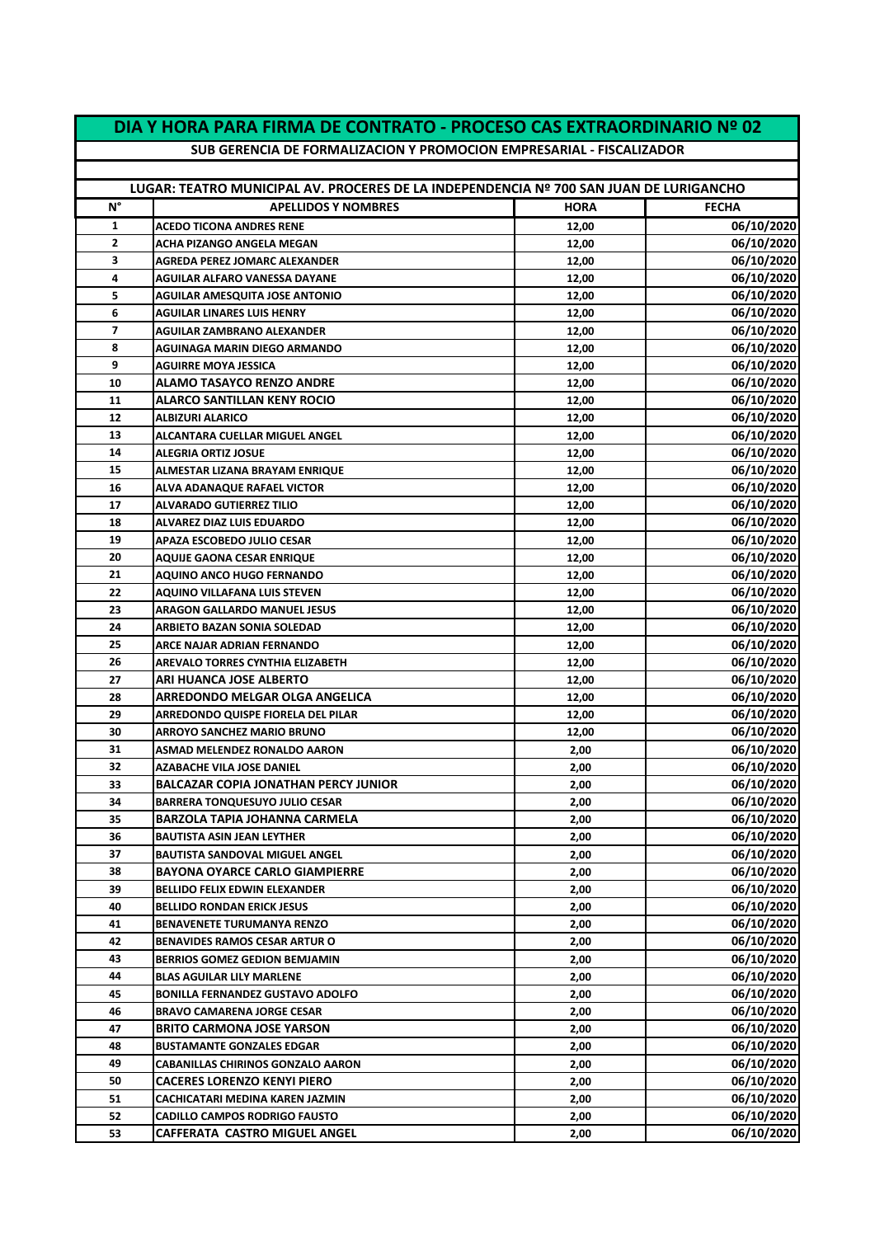| DIA Y HORA PARA FIRMA DE CONTRATO - PROCESO CAS EXTRAORDINARIO Nº 02 |                                                                                        |                |                          |
|----------------------------------------------------------------------|----------------------------------------------------------------------------------------|----------------|--------------------------|
| SUB GERENCIA DE FORMALIZACION Y PROMOCION EMPRESARIAL - FISCALIZADOR |                                                                                        |                |                          |
|                                                                      | LUGAR: TEATRO MUNICIPAL AV. PROCERES DE LA INDEPENDENCIA Nº 700 SAN JUAN DE LURIGANCHO |                |                          |
| N°                                                                   |                                                                                        |                |                          |
|                                                                      | <b>APELLIDOS Y NOMBRES</b>                                                             | <b>HORA</b>    | <b>FECHA</b>             |
| 1                                                                    | <b>ACEDO TICONA ANDRES RENE</b>                                                        | 12,00          | 06/10/2020               |
| 2                                                                    | <b>ACHA PIZANGO ANGELA MEGAN</b>                                                       | 12,00          | 06/10/2020               |
| 3                                                                    | <b>AGREDA PEREZ JOMARC ALEXANDER</b>                                                   | 12,00          | 06/10/2020               |
| 4                                                                    | <b>AGUILAR ALFARO VANESSA DAYANE</b>                                                   | 12,00          | 06/10/2020               |
| 5                                                                    | <b>AGUILAR AMESQUITA JOSE ANTONIO</b>                                                  | 12,00          | 06/10/2020               |
| 6                                                                    | <b>AGUILAR LINARES LUIS HENRY</b>                                                      | 12,00          | 06/10/2020               |
| 7<br>8                                                               | <b>AGUILAR ZAMBRANO ALEXANDER</b>                                                      | 12,00          | 06/10/2020<br>06/10/2020 |
| 9                                                                    | AGUINAGA MARIN DIEGO ARMANDO<br><b>AGUIRRE MOYA JESSICA</b>                            | 12,00<br>12,00 | <b>06/10/2020</b>        |
| 10                                                                   | <b>ALAMO TASAYCO RENZO ANDRE</b>                                                       |                | 06/10/2020               |
| 11                                                                   | ALARCO SANTILLAN KENY ROCIO                                                            | 12,00<br>12,00 | 06/10/2020               |
| 12                                                                   | ALBIZURI ALARICO                                                                       | 12,00          | 06/10/2020               |
| 13                                                                   | ALCANTARA CUELLAR MIGUEL ANGEL                                                         | 12,00          | 06/10/2020               |
| 14                                                                   | <b>ALEGRIA ORTIZ JOSUE</b>                                                             | 12,00          | 06/10/2020               |
| 15                                                                   | ALMESTAR LIZANA BRAYAM ENRIQUE                                                         | 12,00          | 06/10/2020               |
| 16                                                                   | ALVA ADANAQUE RAFAEL VICTOR                                                            | 12,00          | 06/10/2020               |
| 17                                                                   | <b>ALVARADO GUTIERREZ TILIO</b>                                                        | 12,00          | 06/10/2020               |
| 18                                                                   | <b>ALVAREZ DIAZ LUIS EDUARDO</b>                                                       | 12,00          | 06/10/2020               |
| 19                                                                   | APAZA ESCOBEDO JULIO CESAR                                                             | 12,00          | 06/10/2020               |
| 20                                                                   | AQUIJE GAONA CESAR ENRIQUE                                                             | 12,00          | 06/10/2020               |
| 21                                                                   | <b>AQUINO ANCO HUGO FERNANDO</b>                                                       | 12,00          | 06/10/2020               |
| 22                                                                   | <b>AQUINO VILLAFANA LUIS STEVEN</b>                                                    | 12,00          | 06/10/2020               |
| 23                                                                   | ARAGON GALLARDO MANUEL JESUS                                                           | 12,00          | 06/10/2020               |
| 24                                                                   | ARBIETO BAZAN SONIA SOLEDAD                                                            | 12,00          | 06/10/2020               |
| 25                                                                   | ARCE NAJAR ADRIAN FERNANDO                                                             | 12,00          | 06/10/2020               |
| 26                                                                   | <b>AREVALO TORRES CYNTHIA ELIZABETH</b>                                                | 12,00          | 06/10/2020               |
| 27                                                                   | ARI HUANCA JOSE ALBERTO                                                                | 12,00          | 06/10/2020               |
| 28                                                                   | ARREDONDO MELGAR OLGA ANGELICA                                                         | 12,00          | 06/10/2020               |
| 29                                                                   | ARREDONDO QUISPE FIORELA DEL PILAR                                                     | 12,00          | 06/10/2020               |
| 30                                                                   | <b>ARROYO SANCHEZ MARIO BRUNO</b>                                                      | 12,00          | 06/10/2020               |
| 31                                                                   | <b>ASMAD MELENDEZ RONALDO AARON</b>                                                    | 2,00           | 06/10/2020               |
| 32                                                                   | AZABACHE VILA JOSE DANIEL                                                              | 2,00           | 06/10/2020               |
| 33                                                                   | <b>BALCAZAR COPIA JONATHAN PERCY JUNIOR</b>                                            | 2,00           | 06/10/2020               |
| 34                                                                   | <b>BARRERA TONQUESUYO JULIO CESAR</b>                                                  | 2,00           | 06/10/2020               |
| 35                                                                   | <b>BARZOLA TAPIA JOHANNA CARMELA</b>                                                   | 2,00           | 06/10/2020               |
| 36                                                                   | <b>BAUTISTA ASIN JEAN LEYTHER</b>                                                      | 2,00           | 06/10/2020               |
| 37                                                                   | <b>BAUTISTA SANDOVAL MIGUEL ANGEL</b>                                                  | 2,00           | 06/10/2020               |
| 38                                                                   | <b>BAYONA OYARCE CARLO GIAMPIERRE</b>                                                  | 2,00           | 06/10/2020               |
| 39                                                                   | <b>BELLIDO FELIX EDWIN ELEXANDER</b>                                                   | 2,00           | 06/10/2020               |
| 40                                                                   | <b>BELLIDO RONDAN ERICK JESUS</b>                                                      | 2,00           | 06/10/2020               |
| 41                                                                   | <b>BENAVENETE TURUMANYA RENZO</b>                                                      | 2,00           | 06/10/2020               |
| 42                                                                   | <b>BENAVIDES RAMOS CESAR ARTUR O</b>                                                   | 2,00           | 06/10/2020               |
| 43                                                                   | BERRIOS GOMEZ GEDION BEMJAMIN                                                          | 2,00           | 06/10/2020               |
| 44                                                                   | <b>BLAS AGUILAR LILY MARLENE</b>                                                       | 2,00           | 06/10/2020               |
| 45                                                                   | <b>BONILLA FERNANDEZ GUSTAVO ADOLFO</b>                                                | 2,00           | 06/10/2020               |
| 46                                                                   | <b>BRAVO CAMARENA JORGE CESAR</b>                                                      | 2,00           | 06/10/2020               |
| 47                                                                   | <b>BRITO CARMONA JOSE YARSON</b>                                                       | 2,00           | 06/10/2020               |
| 48                                                                   | <b>BUSTAMANTE GONZALES EDGAR</b>                                                       | 2,00           | 06/10/2020               |
| 49                                                                   | <b>CABANILLAS CHIRINOS GONZALO AARON</b>                                               | 2,00           | 06/10/2020               |
| 50                                                                   | <b>CACERES LORENZO KENYI PIERO</b>                                                     | 2,00           | 06/10/2020               |
| 51                                                                   | CACHICATARI MEDINA KAREN JAZMIN                                                        | 2,00           | 06/10/2020               |
| 52                                                                   | <b>CADILLO CAMPOS RODRIGO FAUSTO</b>                                                   | 2,00           | 06/10/2020               |
| 53                                                                   | <b>CAFFERATA CASTRO MIGUEL ANGEL</b>                                                   | 2,00           | 06/10/2020               |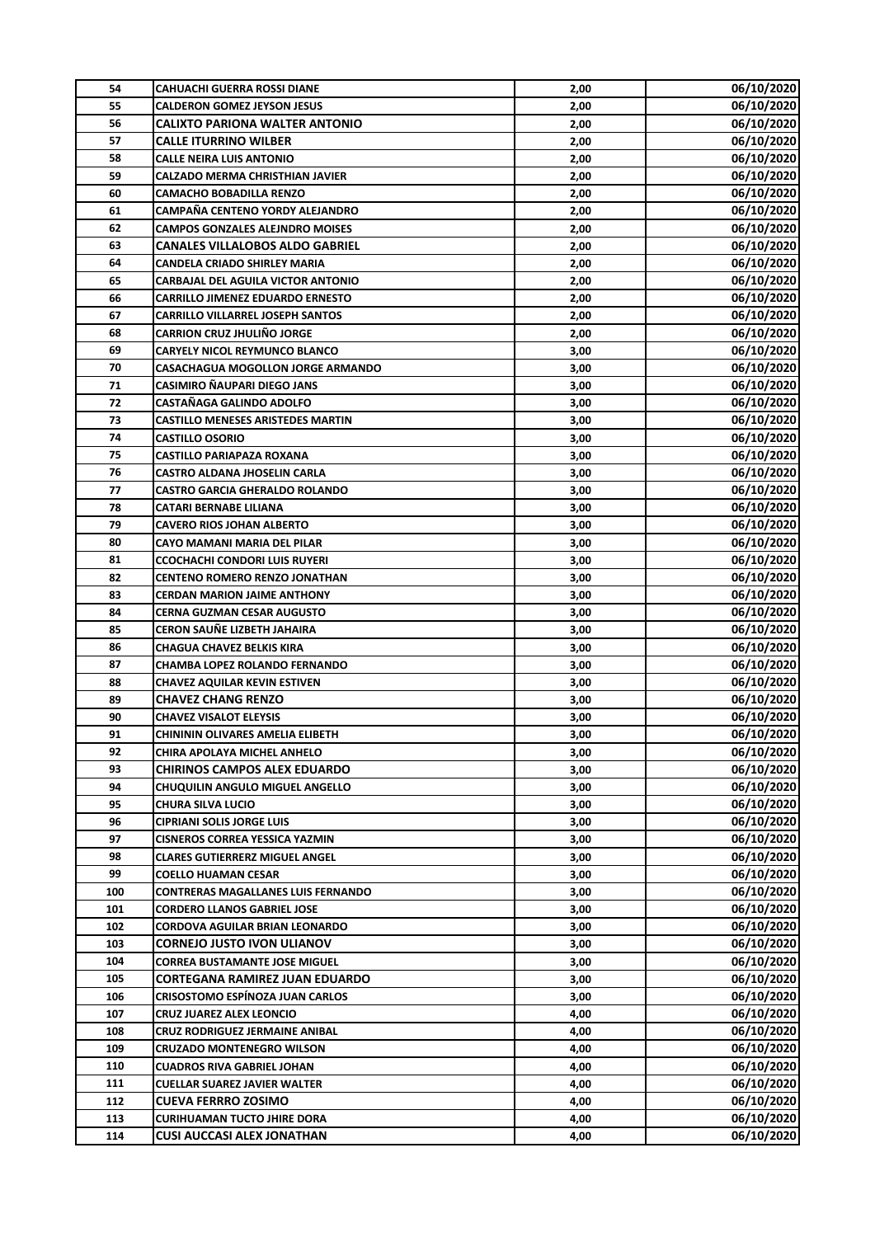| 54  | <b>CAHUACHI GUERRA ROSSI DIANE</b>                              | 2,00 | 06/10/2020               |
|-----|-----------------------------------------------------------------|------|--------------------------|
| 55  | <b>CALDERON GOMEZ JEYSON JESUS</b>                              | 2,00 | 06/10/2020               |
| 56  | <b>CALIXTO PARIONA WALTER ANTONIO</b>                           | 2,00 | 06/10/2020               |
| 57  | <b>CALLE ITURRINO WILBER</b>                                    | 2,00 | 06/10/2020               |
| 58  | <b>CALLE NEIRA LUIS ANTONIO</b>                                 | 2,00 | 06/10/2020               |
| 59  | <b>CALZADO MERMA CHRISTHIAN JAVIER</b>                          | 2,00 | 06/10/2020               |
| 60  | <b>CAMACHO BOBADILLA RENZO</b>                                  | 2,00 | 06/10/2020               |
| 61  | CAMPAÑA CENTENO YORDY ALEJANDRO                                 | 2,00 | 06/10/2020               |
| 62  | <b>CAMPOS GONZALES ALEJNDRO MOISES</b>                          | 2,00 | 06/10/2020               |
| 63  | <b>CANALES VILLALOBOS ALDO GABRIEL</b>                          | 2,00 | 06/10/2020               |
| 64  | CANDELA CRIADO SHIRLEY MARIA                                    | 2,00 | 06/10/2020               |
| 65  | CARBAJAL DEL AGUILA VICTOR ANTONIO                              | 2,00 | 06/10/2020               |
| 66  | <b>CARRILLO JIMENEZ EDUARDO ERNESTO</b>                         | 2,00 | 06/10/2020               |
| 67  | <b>CARRILLO VILLARREL JOSEPH SANTOS</b>                         | 2,00 | 06/10/2020               |
| 68  | <b>CARRION CRUZ JHULIÑO JORGE</b>                               | 2,00 | 06/10/2020               |
| 69  | <b>CARYELY NICOL REYMUNCO BLANCO</b>                            | 3,00 | 06/10/2020               |
| 70  | <b>CASACHAGUA MOGOLLON JORGE ARMANDO</b>                        | 3,00 | 06/10/2020               |
| 71  | <b>CASIMIRO ÑAUPARI DIEGO JANS</b>                              | 3,00 | 06/10/2020               |
| 72  | <b>CASTAÑAGA GALINDO ADOLFO</b>                                 | 3,00 | 06/10/2020               |
| 73  | <b>CASTILLO MENESES ARISTEDES MARTIN</b>                        | 3,00 | 06/10/2020               |
| 74  | <b>CASTILLO OSORIO</b>                                          | 3,00 | 06/10/2020               |
| 75  | <b>CASTILLO PARIAPAZA ROXANA</b>                                | 3,00 | 06/10/2020               |
| 76  | <b>CASTRO ALDANA JHOSELIN CARLA</b>                             | 3,00 | 06/10/2020               |
| 77  | <b>CASTRO GARCIA GHERALDO ROLANDO</b>                           | 3,00 | 06/10/2020               |
| 78  | <b>CATARI BERNABE LILIANA</b>                                   | 3,00 | 06/10/2020               |
| 79  | <b>CAVERO RIOS JOHAN ALBERTO</b>                                | 3,00 | 06/10/2020               |
| 80  | CAYO MAMANI MARIA DEL PILAR                                     | 3,00 | 06/10/2020               |
| 81  | <b>CCOCHACHI CONDORI LUIS RUYERI</b>                            | 3,00 | 06/10/2020               |
| 82  | <b>CENTENO ROMERO RENZO JONATHAN</b>                            | 3,00 | 06/10/2020               |
| 83  | <b>CERDAN MARION JAIME ANTHONY</b>                              | 3,00 | 06/10/2020               |
| 84  | <b>CERNA GUZMAN CESAR AUGUSTO</b>                               | 3,00 | 06/10/2020               |
| 85  | CERON SAUÑE LIZBETH JAHAIRA                                     | 3,00 | 06/10/2020               |
| 86  | <b>CHAGUA CHAVEZ BELKIS KIRA</b>                                | 3,00 | 06/10/2020               |
| 87  | <b>CHAMBA LOPEZ ROLANDO FERNANDO</b>                            | 3,00 | 06/10/2020               |
| 88  | <b>CHAVEZ AQUILAR KEVIN ESTIVEN</b>                             | 3,00 | 06/10/2020               |
| 89  | <b>CHAVEZ CHANG RENZO</b>                                       | 3,00 | 06/10/2020               |
| 90  | <b>CHAVEZ VISALOT ELEYSIS</b>                                   | 3,00 | 06/10/2020               |
| 91  |                                                                 |      |                          |
| 92  | CHINININ OLIVARES AMELIA ELIBETH<br>CHIRA APOLAYA MICHEL ANHELO | 3,00 | 06/10/2020<br>06/10/2020 |
| 93  | <b>CHIRINOS CAMPOS ALEX EDUARDO</b>                             | 3,00 | 06/10/2020               |
|     |                                                                 | 3,00 |                          |
| 94  | CHUQUILIN ANGULO MIGUEL ANGELLO                                 | 3,00 | 06/10/2020<br>06/10/2020 |
| 95  | CHURA SILVA LUCIO                                               | 3,00 |                          |
| 96  | <b>CIPRIANI SOLIS JORGE LUIS</b>                                | 3,00 | 06/10/2020               |
| 97  | <b>CISNEROS CORREA YESSICA YAZMIN</b>                           | 3,00 | 06/10/2020               |
| 98  | <b>CLARES GUTIERRERZ MIGUEL ANGEL</b>                           | 3,00 | 06/10/2020               |
| 99  | COELLO HUAMAN CESAR                                             | 3,00 | 06/10/2020               |
| 100 | CONTRERAS MAGALLANES LUIS FERNANDO                              | 3,00 | 06/10/2020               |
| 101 | <b>CORDERO LLANOS GABRIEL JOSE</b>                              | 3,00 | 06/10/2020               |
| 102 | CORDOVA AGUILAR BRIAN LEONARDO                                  | 3,00 | 06/10/2020               |
| 103 | <b>CORNEJO JUSTO IVON ULIANOV</b>                               | 3,00 | 06/10/2020               |
| 104 | <b>CORREA BUSTAMANTE JOSE MIGUEL</b>                            | 3,00 | 06/10/2020               |
| 105 | <b>CORTEGANA RAMIREZ JUAN EDUARDO</b>                           | 3,00 | 06/10/2020               |
| 106 | <b>CRISOSTOMO ESPÍNOZA JUAN CARLOS</b>                          | 3,00 | 06/10/2020               |
| 107 | CRUZ JUAREZ ALEX LEONCIO                                        | 4,00 | 06/10/2020               |
| 108 | <b>CRUZ RODRIGUEZ JERMAINE ANIBAL</b>                           | 4,00 | 06/10/2020               |
| 109 | <b>CRUZADO MONTENEGRO WILSON</b>                                | 4,00 | 06/10/2020               |
| 110 | <b>CUADROS RIVA GABRIEL JOHAN</b>                               | 4,00 | 06/10/2020               |
| 111 | <b>CUELLAR SUAREZ JAVIER WALTER</b>                             | 4,00 | 06/10/2020               |
| 112 | <b>CUEVA FERRRO ZOSIMO</b>                                      | 4,00 | 06/10/2020               |
| 113 | <b>CURIHUAMAN TUCTO JHIRE DORA</b>                              | 4,00 | 06/10/2020               |
| 114 | <b>CUSI AUCCASI ALEX JONATHAN</b>                               | 4,00 | 06/10/2020               |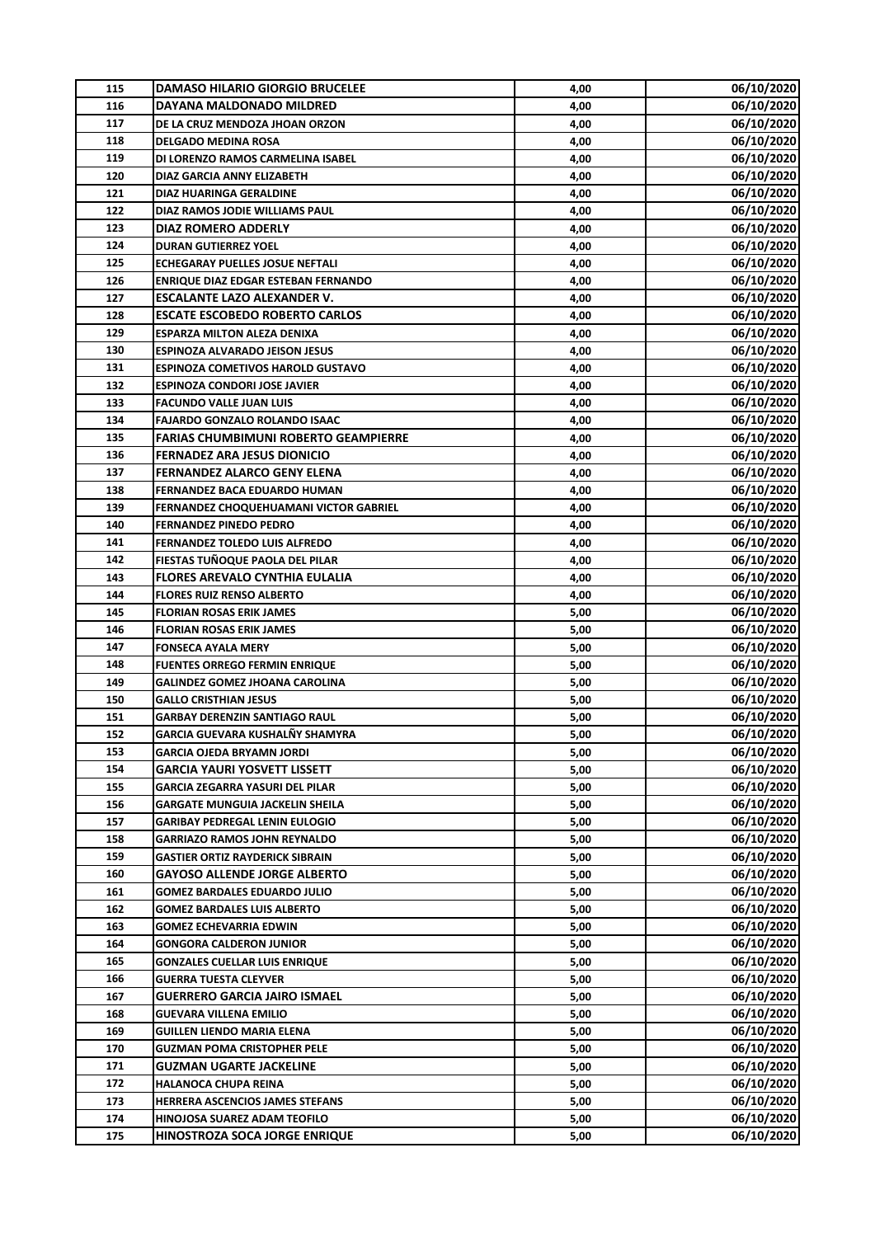| 115 | <b>DAMASO HILARIO GIORGIO BRUCELEE</b>      | 4,00 | 06/10/2020 |
|-----|---------------------------------------------|------|------------|
| 116 | DAYANA MALDONADO MILDRED                    | 4,00 | 06/10/2020 |
| 117 | DE LA CRUZ MENDOZA JHOAN ORZON              | 4,00 | 06/10/2020 |
| 118 | <b>DELGADO MEDINA ROSA</b>                  | 4,00 | 06/10/2020 |
| 119 | DI LORENZO RAMOS CARMELINA ISABEL           | 4,00 | 06/10/2020 |
| 120 | <b>DIAZ GARCIA ANNY ELIZABETH</b>           | 4,00 | 06/10/2020 |
| 121 | DIAZ HUARINGA GERALDINE                     | 4,00 | 06/10/2020 |
| 122 | DIAZ RAMOS JODIE WILLIAMS PAUL              | 4,00 | 06/10/2020 |
| 123 | <b>DIAZ ROMERO ADDERLY</b>                  | 4,00 | 06/10/2020 |
| 124 | <b>DURAN GUTIERREZ YOEL</b>                 | 4,00 | 06/10/2020 |
| 125 | <b>ECHEGARAY PUELLES JOSUE NEFTALI</b>      | 4,00 | 06/10/2020 |
| 126 | <b>ENRIQUE DIAZ EDGAR ESTEBAN FERNANDO</b>  | 4,00 | 06/10/2020 |
| 127 | <b>ESCALANTE LAZO ALEXANDER V.</b>          | 4,00 | 06/10/2020 |
| 128 | <b>ESCATE ESCOBEDO ROBERTO CARLOS</b>       | 4,00 | 06/10/2020 |
| 129 | <b>ESPARZA MILTON ALEZA DENIXA</b>          | 4,00 | 06/10/2020 |
| 130 | <b>ESPINOZA ALVARADO JEISON JESUS</b>       | 4,00 | 06/10/2020 |
| 131 | <b>ESPINOZA COMETIVOS HAROLD GUSTAVO</b>    | 4,00 | 06/10/2020 |
| 132 | <b>ESPINOZA CONDORI JOSE JAVIER</b>         | 4,00 | 06/10/2020 |
| 133 | <b>FACUNDO VALLE JUAN LUIS</b>              | 4,00 | 06/10/2020 |
| 134 | <b>FAJARDO GONZALO ROLANDO ISAAC</b>        | 4,00 | 06/10/2020 |
| 135 | <b>FARIAS CHUMBIMUNI ROBERTO GEAMPIERRE</b> | 4,00 | 06/10/2020 |
| 136 | <b>FERNADEZ ARA JESUS DIONICIO</b>          | 4,00 | 06/10/2020 |
| 137 | <b>FERNANDEZ ALARCO GENY ELENA</b>          | 4,00 | 06/10/2020 |
| 138 | FERNANDEZ BACA EDUARDO HUMAN                | 4,00 | 06/10/2020 |
| 139 | FERNANDEZ CHOQUEHUAMANI VICTOR GABRIEL      | 4,00 | 06/10/2020 |
| 140 | <b>FERNANDEZ PINEDO PEDRO</b>               | 4,00 | 06/10/2020 |
| 141 | <b>FERNANDEZ TOLEDO LUIS ALFREDO</b>        | 4,00 | 06/10/2020 |
| 142 | FIESTAS TUÑOQUE PAOLA DEL PILAR             | 4,00 | 06/10/2020 |
| 143 | <b>FLORES AREVALO CYNTHIA EULALIA</b>       | 4,00 | 06/10/2020 |
| 144 | <b>FLORES RUIZ RENSO ALBERTO</b>            | 4,00 | 06/10/2020 |
| 145 | <b>FLORIAN ROSAS ERIK JAMES</b>             | 5,00 | 06/10/2020 |
| 146 | <b>FLORIAN ROSAS ERIK JAMES</b>             | 5,00 | 06/10/2020 |
| 147 | <b>FONSECA AYALA MERY</b>                   | 5,00 | 06/10/2020 |
| 148 | <b>FUENTES ORREGO FERMIN ENRIQUE</b>        | 5,00 | 06/10/2020 |
| 149 | <b>GALINDEZ GOMEZ JHOANA CAROLINA</b>       | 5,00 | 06/10/2020 |
| 150 | <b>GALLO CRISTHIAN JESUS</b>                | 5,00 | 06/10/2020 |
| 151 | <b>GARBAY DERENZIN SANTIAGO RAUL</b>        | 5,00 | 06/10/2020 |
| 152 | GARCIA GUEVARA KUSHALÑY SHAMYRA             | 5,00 | 06/10/2020 |
| 153 | <b>GARCIA OJEDA BRYAMN JORDI</b>            | 5,00 | 06/10/2020 |
| 154 | GARCIA YAURI YOSVETT LISSETT                | 5,00 | 06/10/2020 |
| 155 | <b>GARCIA ZEGARRA YASURI DEL PILAR</b>      | 5,00 | 06/10/2020 |
| 156 | <b>GARGATE MUNGUIA JACKELIN SHEILA</b>      | 5,00 | 06/10/2020 |
| 157 | <b>GARIBAY PEDREGAL LENIN EULOGIO</b>       | 5,00 | 06/10/2020 |
| 158 | <b>GARRIAZO RAMOS JOHN REYNALDO</b>         | 5,00 | 06/10/2020 |
| 159 | <b>GASTIER ORTIZ RAYDERICK SIBRAIN</b>      | 5,00 | 06/10/2020 |
| 160 | <b>GAYOSO ALLENDE JORGE ALBERTO</b>         | 5,00 | 06/10/2020 |
| 161 | <b>GOMEZ BARDALES EDUARDO JULIO</b>         | 5,00 | 06/10/2020 |
| 162 | <b>GOMEZ BARDALES LUIS ALBERTO</b>          | 5,00 | 06/10/2020 |
| 163 | GOMEZ ECHEVARRIA EDWIN                      | 5,00 | 06/10/2020 |
| 164 | <b>GONGORA CALDERON JUNIOR</b>              | 5,00 | 06/10/2020 |
| 165 | <b>GONZALES CUELLAR LUIS ENRIQUE</b>        | 5,00 | 06/10/2020 |
| 166 | <b>GUERRA TUESTA CLEYVER</b>                | 5,00 | 06/10/2020 |
| 167 | <b>GUERRERO GARCIA JAIRO ISMAEL</b>         | 5,00 | 06/10/2020 |
| 168 | <b>GUEVARA VILLENA EMILIO</b>               | 5,00 | 06/10/2020 |
| 169 | <b>GUILLEN LIENDO MARIA ELENA</b>           | 5,00 | 06/10/2020 |
| 170 | <b>GUZMAN POMA CRISTOPHER PELE</b>          | 5,00 | 06/10/2020 |
| 171 | GUZMAN UGARTE JACKELINE                     | 5,00 | 06/10/2020 |
| 172 | <b>HALANOCA CHUPA REINA</b>                 | 5,00 | 06/10/2020 |
| 173 | HERRERA ASCENCIOS JAMES STEFANS             | 5,00 | 06/10/2020 |
| 174 | HINOJOSA SUAREZ ADAM TEOFILO                | 5,00 | 06/10/2020 |
| 175 | HINOSTROZA SOCA JORGE ENRIQUE               | 5,00 | 06/10/2020 |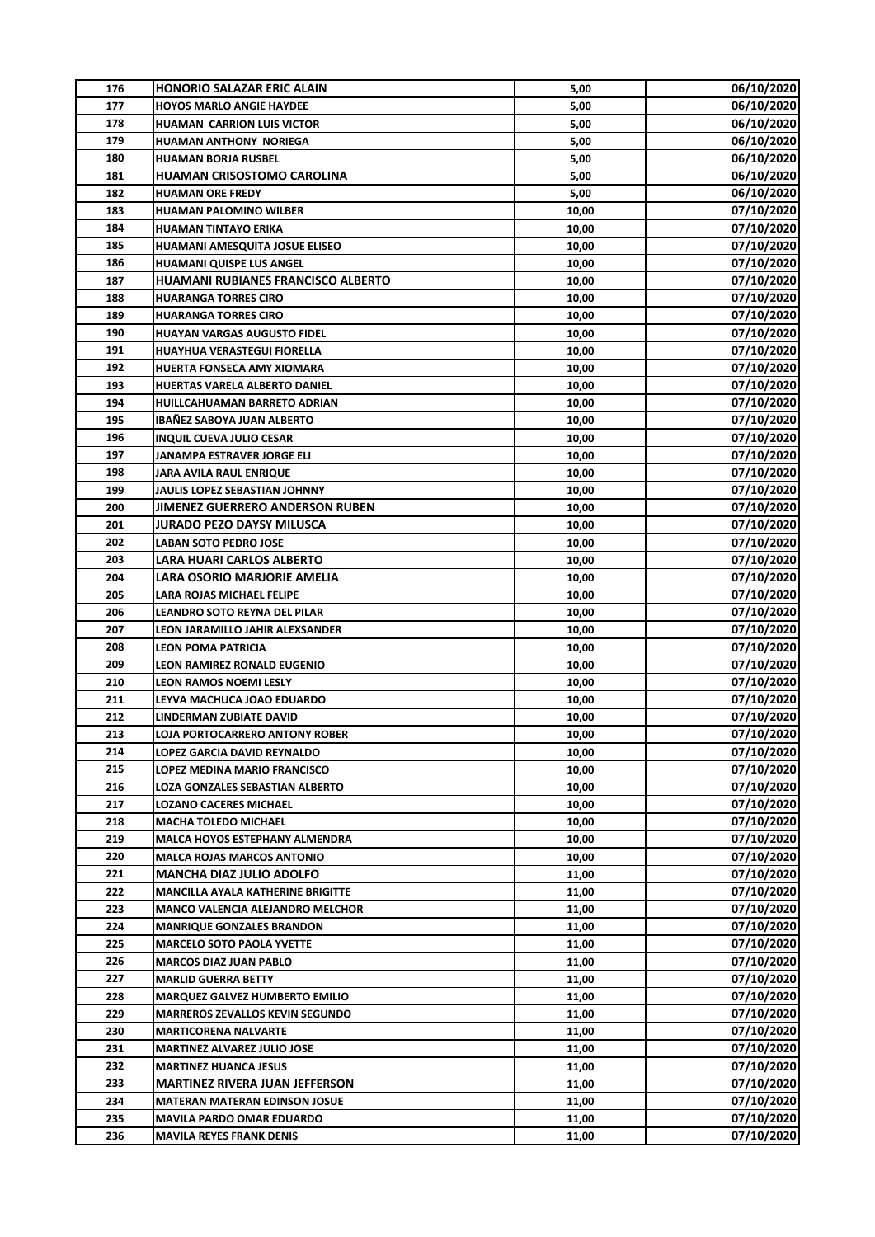| 176 | <b>HONORIO SALAZAR ERIC ALAIN</b>         | 5,00  | 06/10/2020 |
|-----|-------------------------------------------|-------|------------|
| 177 | <b>HOYOS MARLO ANGIE HAYDEE</b>           | 5,00  | 06/10/2020 |
| 178 | <b>HUAMAN CARRION LUIS VICTOR</b>         | 5,00  | 06/10/2020 |
| 179 | <b>HUAMAN ANTHONY NORIEGA</b>             | 5,00  | 06/10/2020 |
| 180 | <b>HUAMAN BORJA RUSBEL</b>                | 5,00  | 06/10/2020 |
| 181 | <b>HUAMAN CRISOSTOMO CAROLINA</b>         | 5,00  | 06/10/2020 |
| 182 | <b>HUAMAN ORE FREDY</b>                   | 5,00  | 06/10/2020 |
| 183 | <b>HUAMAN PALOMINO WILBER</b>             | 10,00 | 07/10/2020 |
| 184 | <b>HUAMAN TINTAYO ERIKA</b>               | 10,00 | 07/10/2020 |
| 185 | HUAMANI AMESQUITA JOSUE ELISEO            | 10,00 | 07/10/2020 |
| 186 | HUAMANI QUISPE LUS ANGEL                  | 10,00 | 07/10/2020 |
| 187 | <b>HUAMANI RUBIANES FRANCISCO ALBERTO</b> | 10,00 | 07/10/2020 |
| 188 | <b>HUARANGA TORRES CIRO</b>               | 10,00 | 07/10/2020 |
| 189 | <b>HUARANGA TORRES CIRO</b>               | 10,00 | 07/10/2020 |
| 190 | <b>HUAYAN VARGAS AUGUSTO FIDEL</b>        | 10,00 | 07/10/2020 |
| 191 | HUAYHUA VERASTEGUI FIORELLA               | 10,00 | 07/10/2020 |
| 192 | HUERTA FONSECA AMY XIOMARA                | 10,00 | 07/10/2020 |
| 193 | HUERTAS VARELA ALBERTO DANIEL             | 10,00 | 07/10/2020 |
| 194 | HUILLCAHUAMAN BARRETO ADRIAN              | 10,00 | 07/10/2020 |
| 195 | <b>IBAÑEZ SABOYA JUAN ALBERTO</b>         | 10,00 | 07/10/2020 |
| 196 | <b>INQUIL CUEVA JULIO CESAR</b>           | 10,00 | 07/10/2020 |
| 197 | JANAMPA ESTRAVER JORGE ELI                | 10,00 | 07/10/2020 |
| 198 | <b>JARA AVILA RAUL ENRIQUE</b>            | 10,00 | 07/10/2020 |
| 199 | JAULIS LOPEZ SEBASTIAN JOHNNY             | 10,00 | 07/10/2020 |
| 200 | JIMENEZ GUERRERO ANDERSON RUBEN           | 10,00 | 07/10/2020 |
| 201 | <b>JURADO PEZO DAYSY MILUSCA</b>          | 10,00 | 07/10/2020 |
| 202 | <b>LABAN SOTO PEDRO JOSE</b>              | 10,00 | 07/10/2020 |
| 203 | LARA HUARI CARLOS ALBERTO                 | 10,00 | 07/10/2020 |
| 204 | LARA OSORIO MARJORIE AMELIA               | 10,00 | 07/10/2020 |
| 205 | LARA ROJAS MICHAEL FELIPE                 | 10,00 | 07/10/2020 |
| 206 | <b>LEANDRO SOTO REYNA DEL PILAR</b>       | 10,00 | 07/10/2020 |
| 207 | LEON JARAMILLO JAHIR ALEXSANDER           | 10,00 | 07/10/2020 |
| 208 | <b>LEON POMA PATRICIA</b>                 | 10,00 | 07/10/2020 |
| 209 | LEON RAMIREZ RONALD EUGENIO               | 10,00 | 07/10/2020 |
| 210 | <b>LEON RAMOS NOEMI LESLY</b>             | 10,00 | 07/10/2020 |
| 211 | LEYVA MACHUCA JOAO EDUARDO                | 10,00 | 07/10/2020 |
| 212 | LINDERMAN ZUBIATE DAVID                   | 10,00 | 07/10/2020 |
| 213 | LOJA PORTOCARRERO ANTONY ROBER            | 10,00 | 07/10/2020 |
| 214 | LOPEZ GARCIA DAVID REYNALDO               | 10,00 | 07/10/2020 |
| 215 | LOPEZ MEDINA MARIO FRANCISCO              | 10,00 | 07/10/2020 |
| 216 | LOZA GONZALES SEBASTIAN ALBERTO           | 10,00 | 07/10/2020 |
| 217 | LOZANO CACERES MICHAEL                    | 10,00 | 07/10/2020 |
| 218 | <b>MACHA TOLEDO MICHAEL</b>               | 10,00 | 07/10/2020 |
| 219 | MALCA HOYOS ESTEPHANY ALMENDRA            | 10,00 | 07/10/2020 |
| 220 | <b>MALCA ROJAS MARCOS ANTONIO</b>         | 10,00 | 07/10/2020 |
| 221 | <b>MANCHA DIAZ JULIO ADOLFO</b>           | 11,00 | 07/10/2020 |
| 222 | <b>MANCILLA AYALA KATHERINE BRIGITTE</b>  | 11,00 | 07/10/2020 |
| 223 | <b>MANCO VALENCIA ALEJANDRO MELCHOR</b>   | 11,00 | 07/10/2020 |
| 224 | <b>MANRIQUE GONZALES BRANDON</b>          | 11,00 | 07/10/2020 |
| 225 | <b>MARCELO SOTO PAOLA YVETTE</b>          | 11,00 | 07/10/2020 |
| 226 | <b>MARCOS DIAZ JUAN PABLO</b>             | 11,00 | 07/10/2020 |
| 227 | <b>MARLID GUERRA BETTY</b>                | 11,00 | 07/10/2020 |
| 228 | <b>MARQUEZ GALVEZ HUMBERTO EMILIO</b>     | 11,00 | 07/10/2020 |
| 229 | <b>MARREROS ZEVALLOS KEVIN SEGUNDO</b>    | 11,00 | 07/10/2020 |
| 230 | <b>MARTICORENA NALVARTE</b>               | 11,00 | 07/10/2020 |
| 231 | <b>MARTINEZ ALVAREZ JULIO JOSE</b>        | 11,00 | 07/10/2020 |
| 232 | <b>MARTINEZ HUANCA JESUS</b>              | 11,00 | 07/10/2020 |
| 233 | <b>MARTINEZ RIVERA JUAN JEFFERSON</b>     | 11,00 | 07/10/2020 |
| 234 |                                           | 11,00 | 07/10/2020 |
| 235 | <b>MATERAN MATERAN EDINSON JOSUE</b>      |       |            |
|     | <b>MAVILA PARDO OMAR EDUARDO</b>          | 11,00 | 07/10/2020 |
| 236 | <b>MAVILA REYES FRANK DENIS</b>           | 11,00 | 07/10/2020 |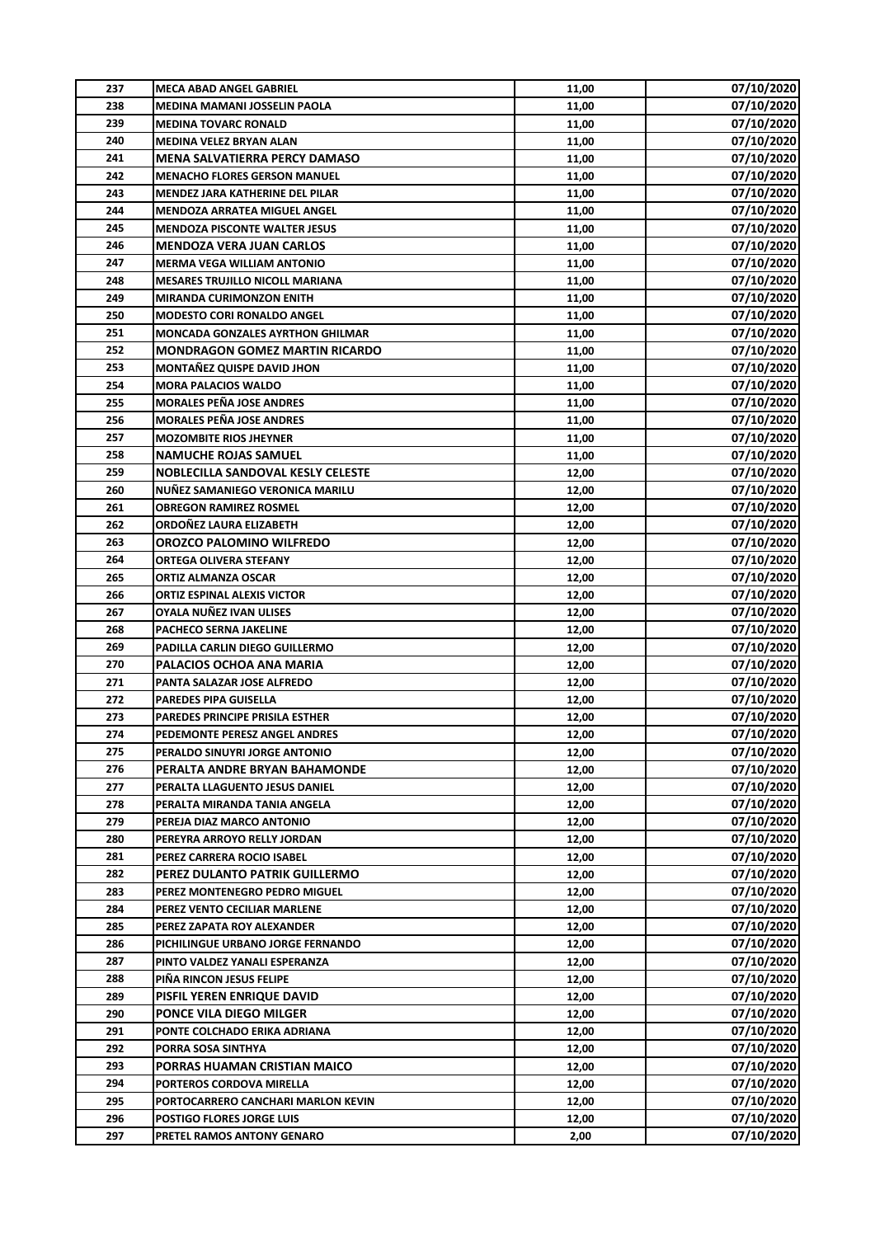| 237        | <b>MECA ABAD ANGEL GABRIEL</b>                                | 11,00 | 07/10/2020 |
|------------|---------------------------------------------------------------|-------|------------|
| 238        | MEDINA MAMANI JOSSELIN PAOLA                                  | 11,00 | 07/10/2020 |
| 239        | <b>MEDINA TOVARC RONALD</b>                                   | 11,00 | 07/10/2020 |
| 240        | MEDINA VELEZ BRYAN ALAN                                       | 11,00 | 07/10/2020 |
| 241        | <b>MENA SALVATIERRA PERCY DAMASO</b>                          | 11,00 | 07/10/2020 |
| 242        | <b>MENACHO FLORES GERSON MANUEL</b>                           | 11,00 | 07/10/2020 |
| 243        | MENDEZ JARA KATHERINE DEL PILAR                               | 11,00 | 07/10/2020 |
| 244        | <b>MENDOZA ARRATEA MIGUEL ANGEL</b>                           | 11,00 | 07/10/2020 |
| 245        | <b>MENDOZA PISCONTE WALTER JESUS</b>                          | 11,00 | 07/10/2020 |
| 246        | <b>MENDOZA VERA JUAN CARLOS</b>                               | 11,00 | 07/10/2020 |
| 247        | <b>MERMA VEGA WILLIAM ANTONIO</b>                             | 11,00 | 07/10/2020 |
| 248        | <b>MESARES TRUJILLO NICOLL MARIANA</b>                        | 11,00 | 07/10/2020 |
| 249        | <b>MIRANDA CURIMONZON ENITH</b>                               | 11,00 | 07/10/2020 |
| 250        | <b>MODESTO CORI RONALDO ANGEL</b>                             | 11,00 | 07/10/2020 |
| 251        | <b>MONCADA GONZALES AYRTHON GHILMAR</b>                       | 11,00 | 07/10/2020 |
| 252        | <b>MONDRAGON GOMEZ MARTIN RICARDO</b>                         | 11,00 | 07/10/2020 |
| 253        | <b>MONTAÑEZ QUISPE DAVID JHON</b>                             | 11,00 | 07/10/2020 |
| 254        | <b>MORA PALACIOS WALDO</b>                                    | 11,00 | 07/10/2020 |
| 255        | <b>MORALES PEÑA JOSE ANDRES</b>                               | 11,00 | 07/10/2020 |
| 256        | <b>MORALES PEÑA JOSE ANDRES</b>                               | 11,00 | 07/10/2020 |
| 257        | <b>MOZOMBITE RIOS JHEYNER</b>                                 | 11,00 | 07/10/2020 |
| 258        | <b>NAMUCHE ROJAS SAMUEL</b>                                   | 11,00 | 07/10/2020 |
| 259        | NOBLECILLA SANDOVAL KESLY CELESTE                             | 12,00 | 07/10/2020 |
| 260        | NUÑEZ SAMANIEGO VERONICA MARILU                               | 12,00 | 07/10/2020 |
| 261        | <b>OBREGON RAMIREZ ROSMEL</b>                                 | 12,00 | 07/10/2020 |
| 262        | ORDOÑEZ LAURA ELIZABETH                                       | 12,00 | 07/10/2020 |
| 263        | OROZCO PALOMINO WILFREDO                                      |       | 07/10/2020 |
| 264        |                                                               | 12,00 |            |
|            | <b>ORTEGA OLIVERA STEFANY</b>                                 | 12,00 | 07/10/2020 |
| 265<br>266 | <b>ORTIZ ALMANZA OSCAR</b>                                    | 12,00 | 07/10/2020 |
| 267        | <b>ORTIZ ESPINAL ALEXIS VICTOR</b><br>OYALA NUÑEZ IVAN ULISES | 12,00 | 07/10/2020 |
|            |                                                               | 12,00 | 07/10/2020 |
| 268        | PACHECO SERNA JAKELINE                                        | 12,00 | 07/10/2020 |
| 269        | PADILLA CARLIN DIEGO GUILLERMO                                | 12,00 | 07/10/2020 |
| 270        | PALACIOS OCHOA ANA MARIA                                      | 12,00 | 07/10/2020 |
| 271        | PANTA SALAZAR JOSE ALFREDO                                    | 12,00 | 07/10/2020 |
| 272        | PAREDES PIPA GUISELLA                                         | 12,00 | 07/10/2020 |
| 273        | PAREDES PRINCIPE PRISILA ESTHER                               | 12,00 | 07/10/2020 |
| 274        | PEDEMONTE PERESZ ANGEL ANDRES                                 | 12.00 | 07/10/2020 |
| 275        | PERALDO SINUYRI JORGE ANTONIO                                 | 12,00 | 07/10/2020 |
| 276        | PERALTA ANDRE BRYAN BAHAMONDE                                 | 12,00 | 07/10/2020 |
| 277        | PERALTA LLAGUENTO JESUS DANIEL                                | 12,00 | 07/10/2020 |
| 278        | PERALTA MIRANDA TANIA ANGELA                                  | 12,00 | 07/10/2020 |
| 279        | PEREJA DIAZ MARCO ANTONIO                                     | 12,00 | 07/10/2020 |
| 280        | PEREYRA ARROYO RELLY JORDAN                                   | 12,00 | 07/10/2020 |
| 281        | PEREZ CARRERA ROCIO ISABEL                                    | 12,00 | 07/10/2020 |
| 282        | PEREZ DULANTO PATRIK GUILLERMO                                | 12,00 | 07/10/2020 |
| 283        | PEREZ MONTENEGRO PEDRO MIGUEL                                 | 12,00 | 07/10/2020 |
| 284        | PEREZ VENTO CECILIAR MARLENE                                  | 12,00 | 07/10/2020 |
| 285        | PEREZ ZAPATA ROY ALEXANDER                                    | 12,00 | 07/10/2020 |
| 286        | PICHILINGUE URBANO JORGE FERNANDO                             | 12,00 | 07/10/2020 |
| 287        | PINTO VALDEZ YANALI ESPERANZA                                 | 12,00 | 07/10/2020 |
| 288        | PIÑA RINCON JESUS FELIPE                                      | 12,00 | 07/10/2020 |
| 289        | PISFIL YEREN ENRIQUE DAVID                                    | 12,00 | 07/10/2020 |
| 290        | PONCE VILA DIEGO MILGER                                       | 12,00 | 07/10/2020 |
| 291        | PONTE COLCHADO ERIKA ADRIANA                                  | 12,00 | 07/10/2020 |
| 292        | PORRA SOSA SINTHYA                                            | 12,00 | 07/10/2020 |
| 293        | PORRAS HUAMAN CRISTIAN MAICO                                  | 12,00 | 07/10/2020 |
| 294        | PORTEROS CORDOVA MIRELLA                                      | 12,00 | 07/10/2020 |
| 295        | PORTOCARRERO CANCHARI MARLON KEVIN                            | 12,00 | 07/10/2020 |
| 296        | POSTIGO FLORES JORGE LUIS                                     | 12,00 | 07/10/2020 |
| 297        | PRETEL RAMOS ANTONY GENARO                                    | 2,00  | 07/10/2020 |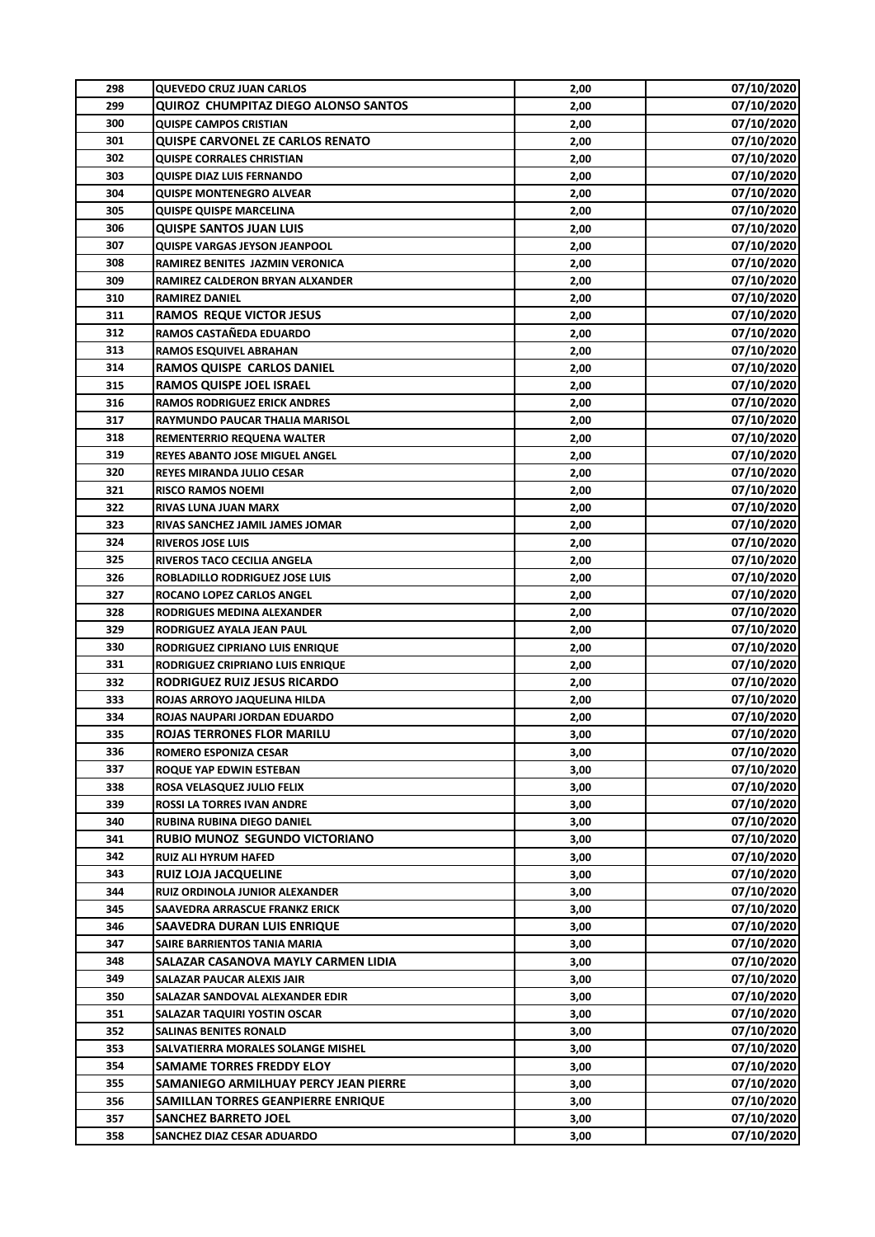| 298 | <b>QUEVEDO CRUZ JUAN CARLOS</b>         | 2,00 | 07/10/2020 |
|-----|-----------------------------------------|------|------------|
| 299 | QUIROZ CHUMPITAZ DIEGO ALONSO SANTOS    | 2,00 | 07/10/2020 |
| 300 | <b>QUISPE CAMPOS CRISTIAN</b>           | 2,00 | 07/10/2020 |
| 301 | <b>QUISPE CARVONEL ZE CARLOS RENATO</b> | 2,00 | 07/10/2020 |
| 302 | <b>QUISPE CORRALES CHRISTIAN</b>        | 2,00 | 07/10/2020 |
| 303 | <b>QUISPE DIAZ LUIS FERNANDO</b>        | 2,00 | 07/10/2020 |
| 304 | <b>QUISPE MONTENEGRO ALVEAR</b>         | 2,00 | 07/10/2020 |
| 305 | <b>QUISPE QUISPE MARCELINA</b>          | 2,00 | 07/10/2020 |
| 306 | <b>QUISPE SANTOS JUAN LUIS</b>          | 2,00 | 07/10/2020 |
| 307 | <b>QUISPE VARGAS JEYSON JEANPOOL</b>    | 2,00 | 07/10/2020 |
| 308 | RAMIREZ BENITES JAZMIN VERONICA         | 2,00 | 07/10/2020 |
| 309 | RAMIREZ CALDERON BRYAN ALXANDER         | 2,00 | 07/10/2020 |
| 310 | <b>RAMIREZ DANIEL</b>                   | 2,00 | 07/10/2020 |
| 311 | <b>RAMOS REQUE VICTOR JESUS</b>         | 2,00 | 07/10/2020 |
| 312 | RAMOS CASTAÑEDA EDUARDO                 | 2,00 | 07/10/2020 |
| 313 | <b>RAMOS ESQUIVEL ABRAHAN</b>           | 2,00 | 07/10/2020 |
| 314 | <b>RAMOS QUISPE CARLOS DANIEL</b>       | 2,00 | 07/10/2020 |
| 315 | <b>RAMOS QUISPE JOEL ISRAEL</b>         | 2,00 | 07/10/2020 |
| 316 | <b>RAMOS RODRIGUEZ ERICK ANDRES</b>     | 2,00 | 07/10/2020 |
| 317 | RAYMUNDO PAUCAR THALIA MARISOL          | 2,00 | 07/10/2020 |
| 318 | <b>REMENTERRIO REQUENA WALTER</b>       | 2,00 | 07/10/2020 |
| 319 | REYES ABANTO JOSE MIGUEL ANGEL          | 2,00 | 07/10/2020 |
| 320 | <b>REYES MIRANDA JULIO CESAR</b>        | 2,00 | 07/10/2020 |
| 321 | <b>RISCO RAMOS NOEMI</b>                | 2,00 | 07/10/2020 |
| 322 | <b>RIVAS LUNA JUAN MARX</b>             | 2,00 | 07/10/2020 |
| 323 | RIVAS SANCHEZ JAMIL JAMES JOMAR         | 2,00 | 07/10/2020 |
| 324 | <b>RIVEROS JOSE LUIS</b>                | 2,00 | 07/10/2020 |
| 325 | RIVEROS TACO CECILIA ANGELA             | 2,00 | 07/10/2020 |
| 326 | ROBLADILLO RODRIGUEZ JOSE LUIS          | 2,00 | 07/10/2020 |
| 327 | ROCANO LOPEZ CARLOS ANGEL               | 2,00 | 07/10/2020 |
| 328 | RODRIGUES MEDINA ALEXANDER              | 2,00 | 07/10/2020 |
| 329 | RODRIGUEZ AYALA JEAN PAUL               | 2,00 | 07/10/2020 |
| 330 | RODRIGUEZ CIPRIANO LUIS ENRIQUE         | 2,00 | 07/10/2020 |
| 331 | RODRIGUEZ CRIPRIANO LUIS ENRIQUE        | 2,00 | 07/10/2020 |
| 332 | RODRIGUEZ RUIZ JESUS RICARDO            | 2,00 | 07/10/2020 |
| 333 | ROJAS ARROYO JAQUELINA HILDA            | 2,00 | 07/10/2020 |
| 334 | ROJAS NAUPARI JORDAN EDUARDO            | 2,00 | 07/10/2020 |
| 335 | <b>ROJAS TERRONES FLOR MARILU</b>       | 3,00 | 07/10/2020 |
| 336 | ROMERO ESPONIZA CESAR                   | 3,00 | 07/10/2020 |
| 337 | ROQUE YAP EDWIN ESTEBAN                 | 3,00 | 07/10/2020 |
| 338 | ROSA VELASQUEZ JULIO FELIX              | 3,00 | 07/10/2020 |
| 339 | <b>ROSSI LA TORRES IVAN ANDRE</b>       | 3,00 | 07/10/2020 |
| 340 | RUBINA RUBINA DIEGO DANIEL              | 3,00 | 07/10/2020 |
| 341 | RUBIO MUNOZ SEGUNDO VICTORIANO          | 3,00 | 07/10/2020 |
| 342 | <b>RUIZ ALI HYRUM HAFED</b>             | 3,00 | 07/10/2020 |
| 343 | <b>RUIZ LOJA JACQUELINE</b>             | 3,00 | 07/10/2020 |
| 344 | RUIZ ORDINOLA JUNIOR ALEXANDER          | 3,00 | 07/10/2020 |
| 345 | SAAVEDRA ARRASCUE FRANKZ ERICK          | 3,00 | 07/10/2020 |
| 346 | SAAVEDRA DURAN LUIS ENRIQUE             | 3,00 | 07/10/2020 |
| 347 | SAIRE BARRIENTOS TANIA MARIA            | 3,00 | 07/10/2020 |
| 348 | SALAZAR CASANOVA MAYLY CARMEN LIDIA     | 3,00 | 07/10/2020 |
| 349 | SALAZAR PAUCAR ALEXIS JAIR              | 3,00 | 07/10/2020 |
| 350 | SALAZAR SANDOVAL ALEXANDER EDIR         | 3,00 | 07/10/2020 |
| 351 | SALAZAR TAQUIRI YOSTIN OSCAR            | 3,00 | 07/10/2020 |
| 352 | <b>SALINAS BENITES RONALD</b>           | 3,00 | 07/10/2020 |
| 353 | SALVATIERRA MORALES SOLANGE MISHEL      | 3,00 | 07/10/2020 |
| 354 | <b>SAMAME TORRES FREDDY ELOY</b>        | 3,00 | 07/10/2020 |
| 355 | SAMANIEGO ARMILHUAY PERCY JEAN PIERRE   | 3,00 | 07/10/2020 |
| 356 | SAMILLAN TORRES GEANPIERRE ENRIQUE      | 3,00 | 07/10/2020 |
| 357 | <b>SANCHEZ BARRETO JOEL</b>             | 3,00 | 07/10/2020 |
| 358 | SANCHEZ DIAZ CESAR ADUARDO              | 3,00 | 07/10/2020 |
|     |                                         |      |            |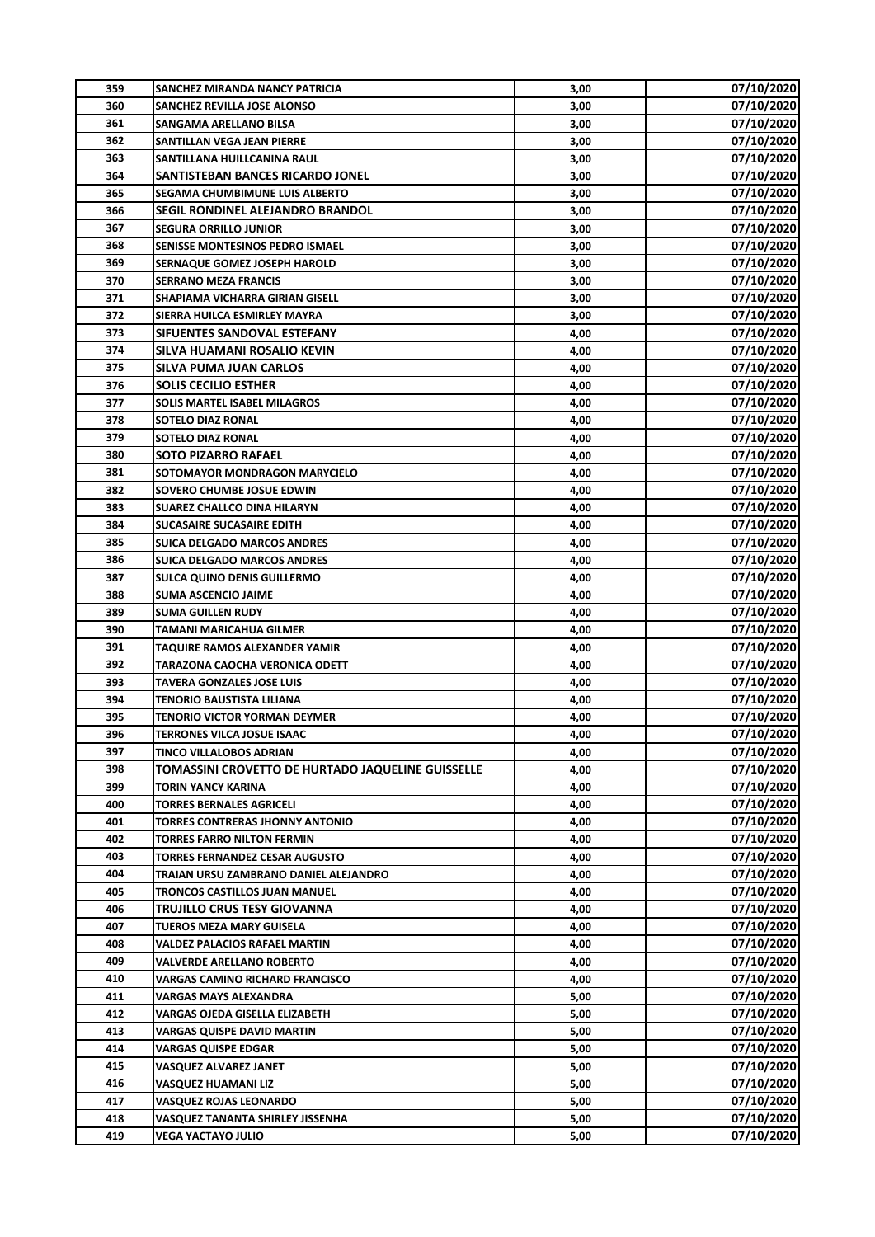| 359 | <b>SANCHEZ MIRANDA NANCY PATRICIA</b>             | 3,00 | 07/10/2020 |
|-----|---------------------------------------------------|------|------------|
| 360 | SANCHEZ REVILLA JOSE ALONSO                       | 3,00 | 07/10/2020 |
| 361 | <b>SANGAMA ARELLANO BILSA</b>                     | 3,00 | 07/10/2020 |
| 362 | SANTILLAN VEGA JEAN PIERRE                        | 3,00 | 07/10/2020 |
| 363 | SANTILLANA HUILLCANINA RAUL                       | 3,00 | 07/10/2020 |
| 364 | <b>SANTISTEBAN BANCES RICARDO JONEL</b>           | 3,00 | 07/10/2020 |
| 365 | SEGAMA CHUMBIMUNE LUIS ALBERTO                    | 3,00 | 07/10/2020 |
| 366 | <b>SEGIL RONDINEL ALEJANDRO BRANDOL</b>           | 3,00 | 07/10/2020 |
| 367 | <b>SEGURA ORRILLO JUNIOR</b>                      | 3,00 | 07/10/2020 |
| 368 | SENISSE MONTESINOS PEDRO ISMAEL                   | 3,00 | 07/10/2020 |
| 369 | <b>SERNAQUE GOMEZ JOSEPH HAROLD</b>               | 3,00 | 07/10/2020 |
| 370 | <b>SERRANO MEZA FRANCIS</b>                       | 3,00 | 07/10/2020 |
| 371 | SHAPIAMA VICHARRA GIRIAN GISELL                   | 3,00 | 07/10/2020 |
| 372 | SIERRA HUILCA ESMIRLEY MAYRA                      | 3,00 | 07/10/2020 |
| 373 | SIFUENTES SANDOVAL ESTEFANY                       | 4,00 | 07/10/2020 |
| 374 | SILVA HUAMANI ROSALIO KEVIN                       | 4,00 | 07/10/2020 |
| 375 | <b>SILVA PUMA JUAN CARLOS</b>                     | 4,00 | 07/10/2020 |
| 376 | <b>SOLIS CECILIO ESTHER</b>                       | 4,00 | 07/10/2020 |
| 377 | <b>SOLIS MARTEL ISABEL MILAGROS</b>               | 4,00 | 07/10/2020 |
| 378 | <b>SOTELO DIAZ RONAL</b>                          | 4,00 | 07/10/2020 |
| 379 | <b>SOTELO DIAZ RONAL</b>                          | 4,00 | 07/10/2020 |
| 380 | <b>SOTO PIZARRO RAFAEL</b>                        | 4,00 | 07/10/2020 |
| 381 | SOTOMAYOR MONDRAGON MARYCIELO                     | 4,00 | 07/10/2020 |
| 382 | SOVERO CHUMBE JOSUE EDWIN                         |      | 07/10/2020 |
| 383 |                                                   | 4,00 | 07/10/2020 |
|     | <b>SUAREZ CHALLCO DINA HILARYN</b>                | 4,00 |            |
| 384 | <b>SUCASAIRE SUCASAIRE EDITH</b>                  | 4,00 | 07/10/2020 |
| 385 | <b>SUICA DELGADO MARCOS ANDRES</b>                | 4,00 | 07/10/2020 |
| 386 | <b>SUICA DELGADO MARCOS ANDRES</b>                | 4,00 | 07/10/2020 |
| 387 | SULCA QUINO DENIS GUILLERMO                       | 4,00 | 07/10/2020 |
| 388 | <b>SUMA ASCENCIO JAIME</b>                        | 4,00 | 07/10/2020 |
| 389 | <b>SUMA GUILLEN RUDY</b>                          | 4,00 | 07/10/2020 |
| 390 | TAMANI MARICAHUA GILMER                           | 4,00 | 07/10/2020 |
| 391 | TAQUIRE RAMOS ALEXANDER YAMIR                     | 4,00 | 07/10/2020 |
| 392 | TARAZONA CAOCHA VERONICA ODETT                    | 4,00 | 07/10/2020 |
| 393 | <b>TAVERA GONZALES JOSE LUIS</b>                  | 4,00 | 07/10/2020 |
| 394 | <b>TENORIO BAUSTISTA LILIANA</b>                  | 4,00 | 07/10/2020 |
| 395 | TENORIO VICTOR YORMAN DEYMER                      | 4,00 | 07/10/2020 |
| 396 | TERRONES VILCA JOSUE ISAAC                        | 4,00 | 07/10/2020 |
| 397 | TINCO VILLALOBOS ADRIAN                           | 4,00 | 07/10/2020 |
| 398 | TOMASSINI CROVETTO DE HURTADO JAQUELINE GUISSELLE | 4,00 | 07/10/2020 |
| 399 | TORIN YANCY KARINA                                | 4,00 | 07/10/2020 |
| 400 | <b>TORRES BERNALES AGRICELI</b>                   | 4,00 | 07/10/2020 |
| 401 | TORRES CONTRERAS JHONNY ANTONIO                   | 4,00 | 07/10/2020 |
| 402 | TORRES FARRO NILTON FERMIN                        | 4,00 | 07/10/2020 |
| 403 | TORRES FERNANDEZ CESAR AUGUSTO                    | 4,00 | 07/10/2020 |
| 404 | TRAIAN URSU ZAMBRANO DANIEL ALEJANDRO             | 4,00 | 07/10/2020 |
| 405 | TRONCOS CASTILLOS JUAN MANUEL                     | 4,00 | 07/10/2020 |
| 406 | TRUJILLO CRUS TESY GIOVANNA                       | 4,00 | 07/10/2020 |
| 407 | TUEROS MEZA MARY GUISELA                          | 4,00 | 07/10/2020 |
| 408 | VALDEZ PALACIOS RAFAEL MARTIN                     | 4,00 | 07/10/2020 |
| 409 | VALVERDE ARELLANO ROBERTO                         | 4,00 | 07/10/2020 |
| 410 | VARGAS CAMINO RICHARD FRANCISCO                   | 4,00 | 07/10/2020 |
| 411 | VARGAS MAYS ALEXANDRA                             | 5,00 | 07/10/2020 |
| 412 | VARGAS OJEDA GISELLA ELIZABETH                    | 5,00 | 07/10/2020 |
| 413 | <b>VARGAS QUISPE DAVID MARTIN</b>                 | 5,00 | 07/10/2020 |
| 414 | <b>VARGAS QUISPE EDGAR</b>                        | 5,00 | 07/10/2020 |
| 415 | VASQUEZ ALVAREZ JANET                             | 5,00 | 07/10/2020 |
| 416 | VASQUEZ HUAMANI LIZ                               | 5,00 | 07/10/2020 |
| 417 | <b>VASQUEZ ROJAS LEONARDO</b>                     | 5,00 | 07/10/2020 |
| 418 | VASQUEZ TANANTA SHIRLEY JISSENHA                  | 5,00 | 07/10/2020 |
| 419 | VEGA YACTAYO JULIO                                | 5,00 | 07/10/2020 |